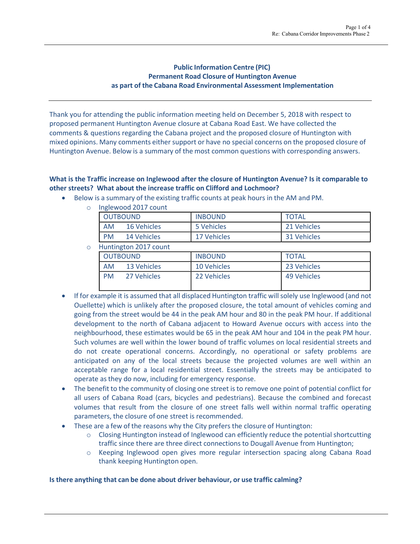## **Public Information Centre (PIC) Permanent Road Closure of Huntington Avenue as part of the Cabana Road Environmental Assessment Implementation**

Thank you for attending the public information meeting held on December 5, 2018 with respect to proposed permanent Huntington Avenue closure at Cabana Road East. We have collected the comments & questions regarding the Cabana project and the proposed closure of Huntington with mixed opinions. Many comments either support or have no special concerns on the proposed closure of Huntington Avenue. Below is a summary of the most common questions with corresponding answers.

# **What is the Traffic increase on Inglewood after the closure of Huntington Avenue? Is it comparable to other streets? What about the increase traffic on Clifford and Lochmoor?**

- Below is a summary of the existing traffic counts at peak hours in the AM and PM.
	- o Inglewood 2017 count

| <b>OUTBOUND</b> |             | <b>INBOUND</b> | <b>TOTAL</b> |
|-----------------|-------------|----------------|--------------|
| AM              | 16 Vehicles | 5 Vehicles     | 21 Vehicles  |
| <b>PM</b>       | 14 Vehicles | 17 Vehicles    | 31 Vehicles  |

o Huntington 2017 count

| <b>OUTBOUND</b> |             | <b>INBOUND</b> | <b>TOTAL</b> |  |  |  |
|-----------------|-------------|----------------|--------------|--|--|--|
| <b>AM</b>       | 13 Vehicles | 10 Vehicles    | 23 Vehicles  |  |  |  |
| <b>PM</b>       | 27 Vehicles | 22 Vehicles    | 49 Vehicles  |  |  |  |

- If for example it is assumed that all displaced Huntington traffic willsolely use Inglewood (and not Ouellette) which is unlikely after the proposed closure, the total amount of vehicles coming and going from the street would be 44 in the peak AM hour and 80 in the peak PM hour. If additional development to the north of Cabana adjacent to Howard Avenue occurs with access into the neighbourhood, these estimates would be 65 in the peak AM hour and 104 in the peak PM hour. Such volumes are well within the lower bound of traffic volumes on local residential streets and do not create operational concerns. Accordingly, no operational or safety problems are anticipated on any of the local streets because the projected volumes are well within an acceptable range for a local residential street. Essentially the streets may be anticipated to operate asthey do now, including for emergency response.
- The benefit to the community of closing one street is to remove one point of potential conflict for all users of Cabana Road (cars, bicycles and pedestrians). Because the combined and forecast volumes that result from the closure of one street falls well within normal traffic operating parameters, the closure of one street is recommended.
- These are a few of the reasons why the City prefers the closure of Huntington:
	- $\circ$  Closing Huntington instead of Inglewood can efficiently reduce the potential shortcutting traffic since there are three direct connections to Dougall Avenue from Huntington;
	- o Keeping Inglewood open gives more regular intersection spacing along Cabana Road thank keeping Huntington open.

### **Is there anything that can be done about driver behaviour, or use traffic calming?**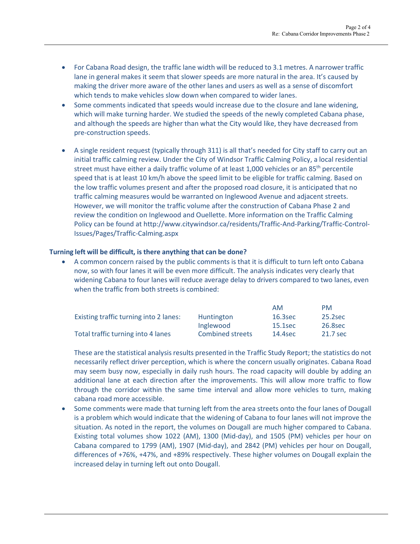- For Cabana Road design, the traffic lane width will be reduced to 3.1 metres. A narrower traffic lane in general makes it seem that slower speeds are more natural in the area. It's caused by making the driver more aware of the other lanes and users as well as a sense of discomfort which tends to make vehicles slow down when compared to wider lanes.
- Some comments indicated that speeds would increase due to the closure and lane widening, which will make turning harder. We studied the speeds of the newly completed Cabana phase, and although the speeds are higher than what the City would like, they have decreased from pre-construction speeds.
- A single resident request (typically through 311) is all that's needed for City staff to carry out an initial traffic calming review. Under the City of Windsor Traffic Calming Policy, a local residential street must have either a daily traffic volume of at least 1,000 vehicles or an 85<sup>th</sup> percentile speed that is at least 10 km/h above the speed limit to be eligible for traffic calming. Based on the low traffic volumes present and after the proposed road closure, it is anticipated that no traffic calming measures would be warranted on Inglewood Avenue and adjacent streets. However, we will monitor the traffic volume after the construction of Cabana Phase 2 and review the condition on Inglewood and Ouellette. More information on the Traffic Calming Policy can be found at<http://www.citywindsor.ca/residents/Traffic-And-Parking/Traffic-Control->Issues/Pages/Traffic-Calming.aspx

### **Turning left will be difficult, is there anything that can be done?**

• A common concern raised by the public comments is that it is difficult to turn left onto Cabana now, so with four lanes it will be even more difficult. The analysis indicates very clearly that widening Cabana to four lanes will reduce average delay to drivers compared to two lanes, even when the traffic from both streets is combined:

|                                        |                         | <b>AM</b> | PM       |
|----------------------------------------|-------------------------|-----------|----------|
| Existing traffic turning into 2 lanes: | Huntington              | 16.3sec   | 25.2sec  |
|                                        | Inglewood               | 15.1sec   | 26.8sec  |
| Total traffic turning into 4 lanes     | <b>Combined streets</b> | 14.4sec   | 21.7 sec |

These are the statistical analysis results presented in the Traffic Study Report; the statistics do not necessarily reflect driver perception, which is where the concern usually originates. Cabana Road may seem busy now, especially in daily rush hours. The road capacity will double by adding an additional lane at each direction after the improvements. This will allow more traffic to flow through the corridor within the same time interval and allow more vehicles to turn, making cabana road more accessible.

• Some comments were made that turning left from the area streets onto the four lanes of Dougall is a problem which would indicate that the widening of Cabana to four lanes will not improve the situation. As noted in the report, the volumes on Dougall are much higher compared to Cabana. Existing total volumes show 1022 (AM), 1300 (Mid-day), and 1505 (PM) vehicles per hour on Cabana compared to 1799 (AM), 1907 (Mid-day), and 2842 (PM) vehicles per hour on Dougall, differences of +76%, +47%, and +89% respectively. These higher volumes on Dougall explain the increased delay in turning left out onto Dougall.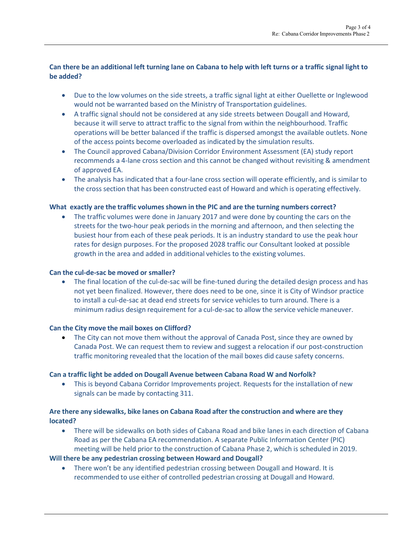# **Can there be an additional left turning lane on Cabana to help with left turns or a traffic signal light to be added?**

- Due to the low volumes on the side streets, a traffic signal light at either Ouellette or Inglewood would not be warranted based on the Ministry of Transportation guidelines.
- A traffic signal should not be considered at any side streets between Dougall and Howard, because it will serve to attract traffic to the signal from within the neighbourhood. Traffic operations will be better balanced if the traffic is dispersed amongst the available outlets. None of the access points become overloaded as indicated by the simulation results.
- The Council approved Cabana/Division Corridor Environment Assessment (EA) study report recommends a 4-lane cross section and this cannot be changed without revisiting & amendment of approved EA.
- The analysis has indicated that a four-lane cross section will operate efficiently, and is similar to the cross section that has been constructed east of Howard and which is operating effectively.

### **What exactly are the traffic volumesshown in the PIC and are the turning numbers correct?**

• The traffic volumes were done in January 2017 and were done by counting the cars on the streets for the two-hour peak periods in the morning and afternoon, and then selecting the busiest hour from each of these peak periods. It is an industry standard to use the peak hour rates for design purposes. For the proposed 2028 traffic our Consultant looked at possible growth in the area and added in additional vehicles to the existing volumes.

### **Can the cul-de-sac be moved or smaller?**

• The final location of the cul-de-sac will be fine-tuned during the detailed design process and has not yet been finalized. However, there does need to be one, since it is City of Windsor practice to install a cul-de-sac at dead end streets for service vehicles to turn around. There is a minimum radius design requirement for a cul-de-sac to allow the service vehicle maneuver.

### **Can the City move the mail boxes on Clifford?**

• The City can not move them without the approval of Canada Post, since they are owned by Canada Post. We can request them to review and suggest a relocation if our post-construction traffic monitoring revealed that the location of the mail boxes did cause safety concerns.

### **Can a traffic light be added on Dougall Avenue between Cabana Road W and Norfolk?**

• This is beyond Cabana Corridor Improvements project. Requests for the installation of new signals can be made by contacting 311.

## **Are there any sidewalks, bike lanes on Cabana Road after the construction and where are they located?**

• There will be sidewalks on both sides of Cabana Road and bike lanes in each direction of Cabana Road as per the Cabana EA recommendation. A separate Public Information Center (PIC) meeting will be held prior to the construction of Cabana Phase 2, which is scheduled in 2019.

### **Will there be any pedestrian crossing between Howard and Dougall?**

• There won't be any identified pedestrian crossing between Dougall and Howard. It is recommended to use either of controlled pedestrian crossing at Dougall and Howard.